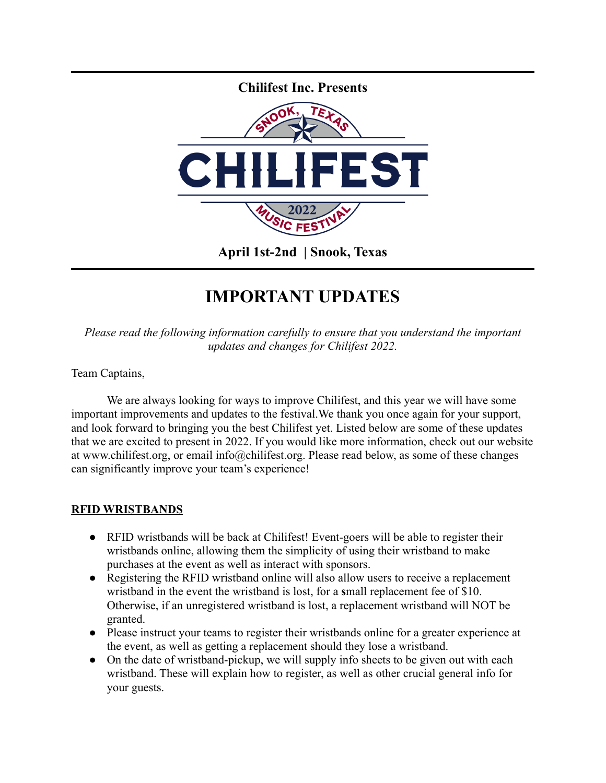

## **IMPORTANT UPDATES**

*Please read the following information carefully to ensure that you understand the important updates and changes for Chilifest 2022.*

Team Captains,

We are always looking for ways to improve Chilifest, and this year we will have some important improvements and updates to the festival.We thank you once again for your support, and look forward to bringing you the best Chilifest yet. Listed below are some of these updates that we are excited to present in 2022. If you would like more information, check out our website at www.chilifest.org, or email info@chilifest.org. Please read below, as some of these changes can significantly improve your team's experience!

## **RFID WRISTBANDS**

- RFID wristbands will be back at Chilifest! Event-goers will be able to register their wristbands online, allowing them the simplicity of using their wristband to make purchases at the event as well as interact with sponsors.
- Registering the RFID wristband online will also allow users to receive a replacement wristband in the event the wristband is lost, for a **s**mall replacement fee of \$10. Otherwise, if an unregistered wristband is lost, a replacement wristband will NOT be granted.
- Please instruct your teams to register their wristbands online for a greater experience at the event, as well as getting a replacement should they lose a wristband.
- On the date of wristband-pickup, we will supply info sheets to be given out with each wristband. These will explain how to register, as well as other crucial general info for your guests.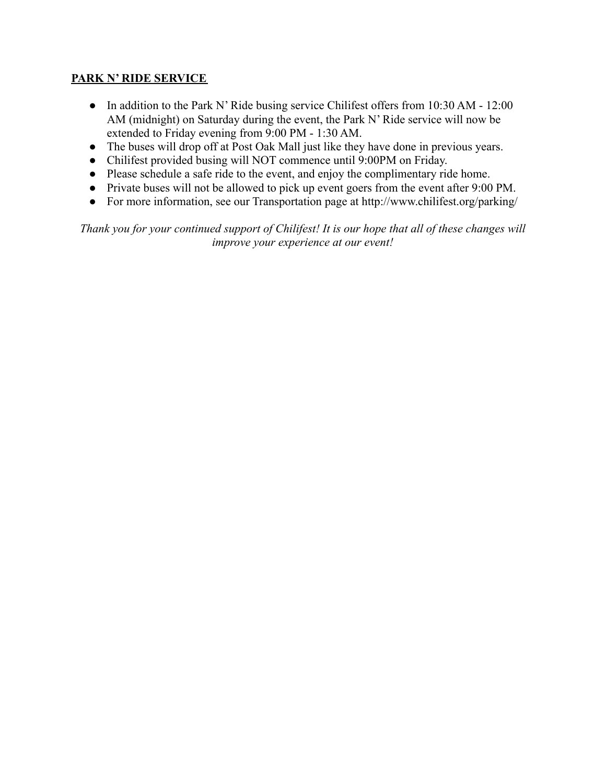## **PARK N' RIDE SERVICE**

- In addition to the Park N' Ride busing service Chilifest offers from 10:30 AM 12:00 AM (midnight) on Saturday during the event, the Park N' Ride service will now be extended to Friday evening from 9:00 PM - 1:30 AM.
- The buses will drop off at Post Oak Mall just like they have done in previous years.
- Chilifest provided busing will NOT commence until 9:00PM on Friday.
- Please schedule a safe ride to the event, and enjoy the complimentary ride home.
- Private buses will not be allowed to pick up event goers from the event after 9:00 PM.
- For more information, see our Transportation page at http://www.chilifest.org/parking/

*Thank you for your continued support of Chilifest! It is our hope that all of these changes will improve your experience at our event!*